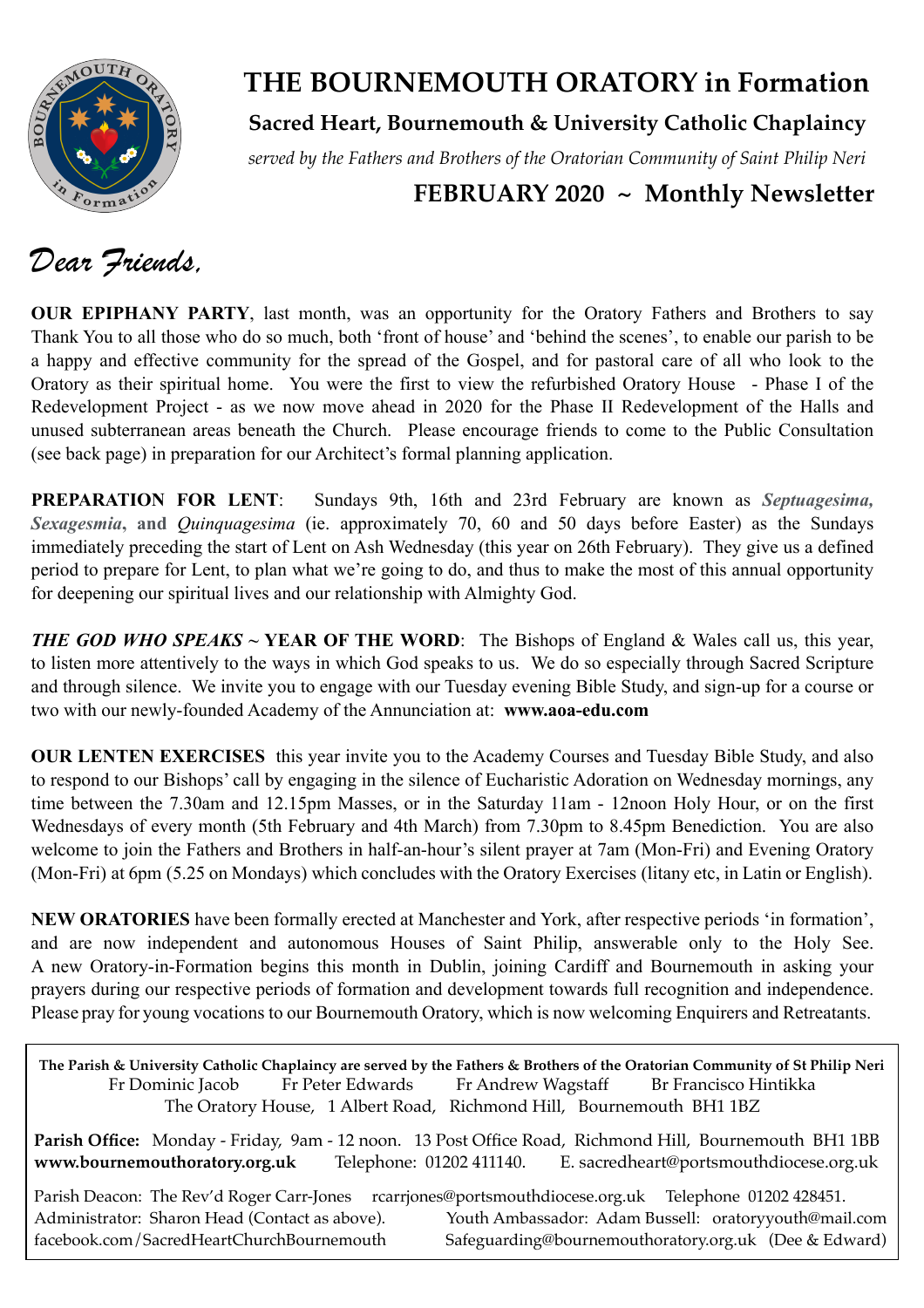

### **THE BOURNEMOUTH ORATORY in Formation**

### **Sacred Heart, Bournemouth & University Catholic Chaplaincy**

*served by the Fathers and Brothers of the Oratorian Community of Saint Philip Neri*

### **FEBRUARY 2020 ~ Monthly Newsletter**

### *Dear Friends,*

**OUR EPIPHANY PARTY**, last month, was an opportunity for the Oratory Fathers and Brothers to say Thank You to all those who do so much, both 'front of house' and 'behind the scenes', to enable our parish to be a happy and effective community for the spread of the Gospel, and for pastoral care of all who look to the Oratory as their spiritual home. You were the first to view the refurbished Oratory House - Phase I of the Redevelopment Project - as we now move ahead in 2020 for the Phase II Redevelopment of the Halls and unused subterranean areas beneath the Church. Please encourage friends to come to the Public Consultation (see back page) in preparation for our Architect's formal planning application.

**PREPARATION FOR LENT**: Sundays 9th, 16th and 23rd February are known as *Septuagesima, Sexagesmia***, and** *Quinquagesima* (ie. approximately 70, 60 and 50 days before Easter) as the Sundays immediately preceding the start of Lent on Ash Wednesday (this year on 26th February). They give us a defined period to prepare for Lent, to plan what we're going to do, and thus to make the most of this annual opportunity for deepening our spiritual lives and our relationship with Almighty God.

*THE GOD WHO SPEAKS* **~ YEAR OF THE WORD**: The Bishops of England & Wales call us, this year, to listen more attentively to the ways in which God speaks to us. We do so especially through Sacred Scripture and through silence. We invite you to engage with our Tuesday evening Bible Study, and sign-up for a course or two with our newly-founded Academy of the Annunciation at: **www.aoa-edu.com**

**OUR LENTEN EXERCISES** this year invite you to the Academy Courses and Tuesday Bible Study, and also to respond to our Bishops' call by engaging in the silence of Eucharistic Adoration on Wednesday mornings, any time between the 7.30am and 12.15pm Masses, or in the Saturday 11am - 12noon Holy Hour, or on the first Wednesdays of every month (5th February and 4th March) from 7.30pm to 8.45pm Benediction. You are also welcome to join the Fathers and Brothers in half-an-hour's silent prayer at 7am (Mon-Fri) and Evening Oratory (Mon-Fri) at 6pm (5.25 on Mondays) which concludes with the Oratory Exercises (litany etc, in Latin or English).

**NEW ORATORIES** have been formally erected at Manchester and York, after respective periods 'in formation', and are now independent and autonomous Houses of Saint Philip, answerable only to the Holy See. A new Oratory-in-Formation begins this month in Dublin, joining Cardiff and Bournemouth in asking your prayers during our respective periods of formation and development towards full recognition and independence. Please pray for young vocations to our Bournemouth Oratory, which is now welcoming Enquirers and Retreatants.

**The Parish & University Catholic Chaplaincy are served by the Fathers & Brothers of the Oratorian Community of St Philip Neri** Fr Dominic Jacob Fr Peter Edwards Fr Andrew Wagstaff Br Francisco Hintikka The Oratory House, 1 Albert Road, Richmond Hill, Bournemouth BH1 1BZ **Parish Office:** Monday - Friday, 9am - 12 noon. 13 Post Office Road, Richmond Hill, Bournemouth BH1 1BB **[www.bournemouthoratory.org.uk](http://www.bournemoithoratory.org.uk)** Telephone: 01202 411140. E. [sacredheart@portsmouthdiocese.org.uk](mailto:sacredheart@portsmouthdiocese.org.uk) Parish Deacon: The Rev'd Roger Carr-Jones [rcarrjones@portsmouthdiocese.org.uk](mailto:rcarrjones@portsmouthdiocese.org.uk) Telephone 01202 428451. Administrator: Sharon Head (Contact as above). Youth Ambassador: Adam Bussell: [oratoryyouth@mail.com](http://oratoryyouth.mail.com) [facebook.com/SacredHeartChurchBournemouth](http://facebook.com/SaccredHeartChurchBournemouth) [Safeguarding@bournemouthoratory.org.uk](mailto:safeguarding@bournemouthoratory.org.uk) (Dee & Edward)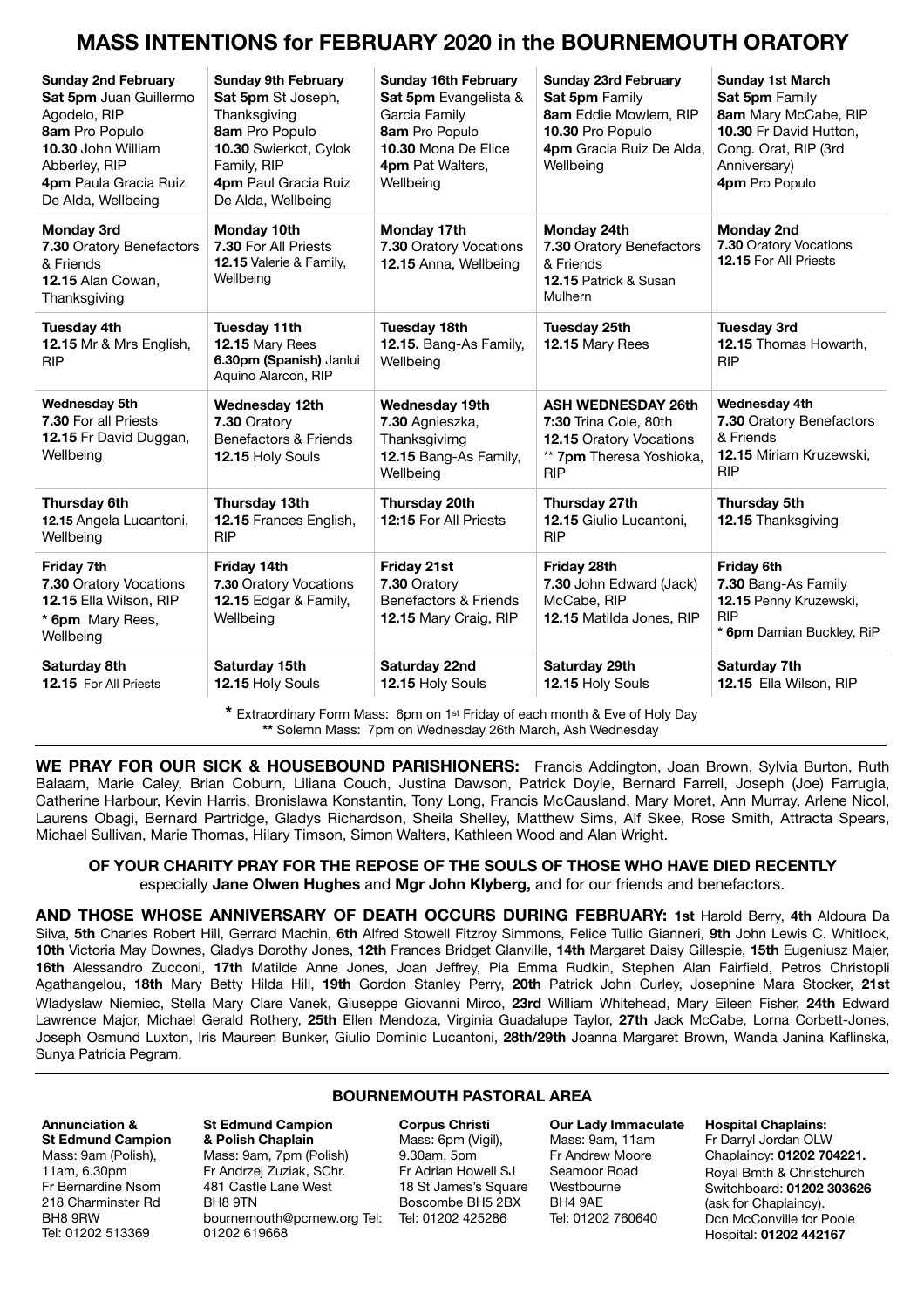### **MASS INTENTIONS for FEBRUARY 2020 in the BOURNEMOUTH ORATORY**

| <b>Sunday 2nd February</b><br>Sat 5pm Juan Guillermo<br>Agodelo, RIP<br>8am Pro Populo<br>10.30 John William<br>Abberley, RIP<br>4pm Paula Gracia Ruiz<br>De Alda, Wellbeing | <b>Sunday 9th February</b><br>Sat 5pm St Joseph,<br>Thanksgiving<br>8am Pro Populo<br>10.30 Swierkot, Cylok<br>Family, RIP<br>4pm Paul Gracia Ruiz<br>De Alda, Wellbeing | <b>Sunday 16th February</b><br>Sat 5pm Evangelista &<br>Garcia Family<br>8am Pro Populo<br>10.30 Mona De Elice<br>4pm Pat Walters,<br>Wellbeing | <b>Sunday 23rd February</b><br>Sat 5pm Family<br>8am Eddie Mowlem, RIP<br>10.30 Pro Populo<br>4pm Gracia Ruiz De Alda,<br>Wellbeing | <b>Sunday 1st March</b><br><b>Sat 5pm Family</b><br>8am Mary McCabe, RIP<br>10.30 Fr David Hutton,<br>Cong. Orat, RIP (3rd<br>Anniversary)<br>4pm Pro Populo |
|------------------------------------------------------------------------------------------------------------------------------------------------------------------------------|--------------------------------------------------------------------------------------------------------------------------------------------------------------------------|-------------------------------------------------------------------------------------------------------------------------------------------------|-------------------------------------------------------------------------------------------------------------------------------------|--------------------------------------------------------------------------------------------------------------------------------------------------------------|
| <b>Monday 3rd</b><br>7.30 Oratory Benefactors<br>& Friends<br>12.15 Alan Cowan,<br>Thanksgiving                                                                              | Monday 10th<br>7.30 For All Priests<br>12.15 Valerie & Family,<br>Wellbeing                                                                                              | Monday 17th<br>7.30 Oratory Vocations<br>12.15 Anna, Wellbeing                                                                                  | Monday 24th<br>7.30 Oratory Benefactors<br>& Friends<br>12.15 Patrick & Susan<br>Mulhern                                            | <b>Monday 2nd</b><br>7.30 Oratory Vocations<br>12.15 For All Priests                                                                                         |
| <b>Tuesday 4th</b><br>12.15 Mr & Mrs English,<br><b>RIP</b>                                                                                                                  | <b>Tuesday 11th</b><br>12.15 Mary Rees<br>6.30pm (Spanish) Janlui<br>Aquino Alarcon, RIP                                                                                 | <b>Tuesday 18th</b><br>12.15. Bang-As Family,<br>Wellbeing                                                                                      | <b>Tuesday 25th</b><br>12.15 Mary Rees                                                                                              | <b>Tuesday 3rd</b><br>12.15 Thomas Howarth.<br><b>RIP</b>                                                                                                    |
| <b>Wednesday 5th</b><br><b>7.30 For all Priests</b><br>12.15 Fr David Duggan,<br>Wellbeing                                                                                   | Wednesday 12th<br>7.30 Oratory<br>Benefactors & Friends<br>12.15 Holy Souls                                                                                              | <b>Wednesday 19th</b><br>7.30 Agnieszka,<br>Thanksgivimg<br>12.15 Bang-As Family,<br>Wellbeing                                                  | <b>ASH WEDNESDAY 26th</b><br>7:30 Trina Cole, 80th<br>12.15 Oratory Vocations<br>** 7pm Theresa Yoshioka,<br><b>RIP</b>             | Wednesday 4th<br>7.30 Oratory Benefactors<br>& Friends<br>12.15 Miriam Kruzewski,<br><b>RIP</b>                                                              |
| Thursday 6th<br>12.15 Angela Lucantoni,<br>Wellbeing                                                                                                                         | Thursday 13th<br>12.15 Frances English,<br><b>RIP</b>                                                                                                                    | Thursday 20th<br>12:15 For All Priests                                                                                                          | Thursday 27th<br>12.15 Giulio Lucantoni,<br><b>RIP</b>                                                                              | Thursday 5th<br>12.15 Thanksgiving                                                                                                                           |
| Friday 7th<br>7.30 Oratory Vocations<br>12.15 Ella Wilson, RIP<br>* 6pm Mary Rees,<br>Wellbeing                                                                              | Friday 14th<br>7.30 Oratory Vocations<br>12.15 Edgar & Family,<br>Wellbeing                                                                                              | Friday 21st<br>7.30 Oratory<br>Benefactors & Friends<br>12.15 Mary Craig, RIP                                                                   | Friday 28th<br>7.30 John Edward (Jack)<br>McCabe, RIP<br>12.15 Matilda Jones, RIP                                                   | Friday 6th<br>7.30 Bang-As Family<br>12.15 Penny Kruzewski,<br><b>RIP</b><br>* 6pm Damian Buckley, RiP                                                       |
| Saturday 8th<br>12.15 For All Priests                                                                                                                                        | Saturday 15th<br>12.15 Holy Souls                                                                                                                                        | Saturday 22nd<br>12.15 Holy Souls                                                                                                               | Saturday 29th<br>12.15 Holy Souls                                                                                                   | Saturday 7th<br>12.15 Ella Wilson, RIP                                                                                                                       |

**\*** Extraordinary Form Mass: 6pm on 1st Friday of each month & Eve of Holy Day **\*\*** Solemn Mass: 7pm on Wednesday 26th March, Ash Wednesday

**WE PRAY FOR OUR SICK & HOUSEBOUND PARISHIONERS:** Francis Addington, Joan Brown, Sylvia Burton, Ruth Balaam, Marie Caley, Brian Coburn, Liliana Couch, Justina Dawson, Patrick Doyle, Bernard Farrell, Joseph (Joe) Farrugia, Catherine Harbour, Kevin Harris, Bronislawa Konstantin, Tony Long, Francis McCausland, Mary Moret, Ann Murray, Arlene Nicol, Laurens Obagi, Bernard Partridge, Gladys Richardson, Sheila Shelley, Matthew Sims, Alf Skee, Rose Smith, Attracta Spears, Michael Sullivan, Marie Thomas, Hilary Timson, Simon Walters, Kathleen Wood and Alan Wright.

#### **OF YOUR CHARITY PRAY FOR THE REPOSE OF THE SOULS OF THOSE WHO HAVE DIED RECENTLY**  especially **Jane Olwen Hughes** and **Mgr John Klyberg,** and for our friends and benefactors.

**AND THOSE WHOSE ANNIVERSARY OF DEATH OCCURS DURING FEBRUARY: 1st** Harold Berry, **4th** Aldoura Da Silva, **5th** Charles Robert Hill, Gerrard Machin, **6th** Alfred Stowell Fitzroy Simmons, Felice Tullio Gianneri, **9th** John Lewis C. Whitlock, **10th** Victoria May Downes, Gladys Dorothy Jones, **12th** Frances Bridget Glanville, **14th** Margaret Daisy Gillespie, **15th** Eugeniusz Majer, **16th** Alessandro Zucconi, **17th** Matilde Anne Jones, Joan Jeffrey, Pia Emma Rudkin, Stephen Alan Fairfield, Petros Christopli Agathangelou, **18th** Mary Betty Hilda Hill, **19th** Gordon Stanley Perry, **20th** Patrick John Curley, Josephine Mara Stocker, **21st**  Wladyslaw Niemiec, Stella Mary Clare Vanek, Giuseppe Giovanni Mirco, **23rd** William Whitehead, Mary Eileen Fisher, **24th** Edward Lawrence Major, Michael Gerald Rothery, **25th** Ellen Mendoza, Virginia Guadalupe Taylor, **27th** Jack McCabe, Lorna Corbett-Jones, Joseph Osmund Luxton, Iris Maureen Bunker, Giulio Dominic Lucantoni, **28th/29th** Joanna Margaret Brown, Wanda Janina Kaflinska, Sunya Patricia Pegram.

#### **BOURNEMOUTH PASTORAL AREA**

#### **Annunciation & St Edmund Campion**  Mass: 9am (Polish), 11am, 6.30pm Fr Bernardine Nsom 218 Charminster Rd BH8 9RW Tel: 01202 513369

#### **St Edmund Campion & Polish Chaplain** Mass: 9am, 7pm (Polish) Fr Andrzej Zuziak, SChr. 481 Castle Lane West BH8 9TN [bournemouth@pcmew.org](mailto:bournemouth@pcmew.org) Tel: Tel: 01202 425286 01202 619668

**Corpus Christi**  Mass: 6pm (Vigil), 9.30am, 5pm Fr Adrian Howell SJ 18 St James's Square Boscombe BH5 2BX

**Our Lady Immaculate**  Mass: 9am, 11am Fr Andrew Moore Seamoor Road Westbourne BH4 9AE Tel: 01202 760640

**Hospital Chaplains:**  Fr Darryl Jordan OLW Chaplaincy: **01202 704221.** Royal Bmth & Christchurch Switchboard: **01202 303626** (ask for Chaplaincy). Dcn McConville for Poole Hospital: **01202 442167**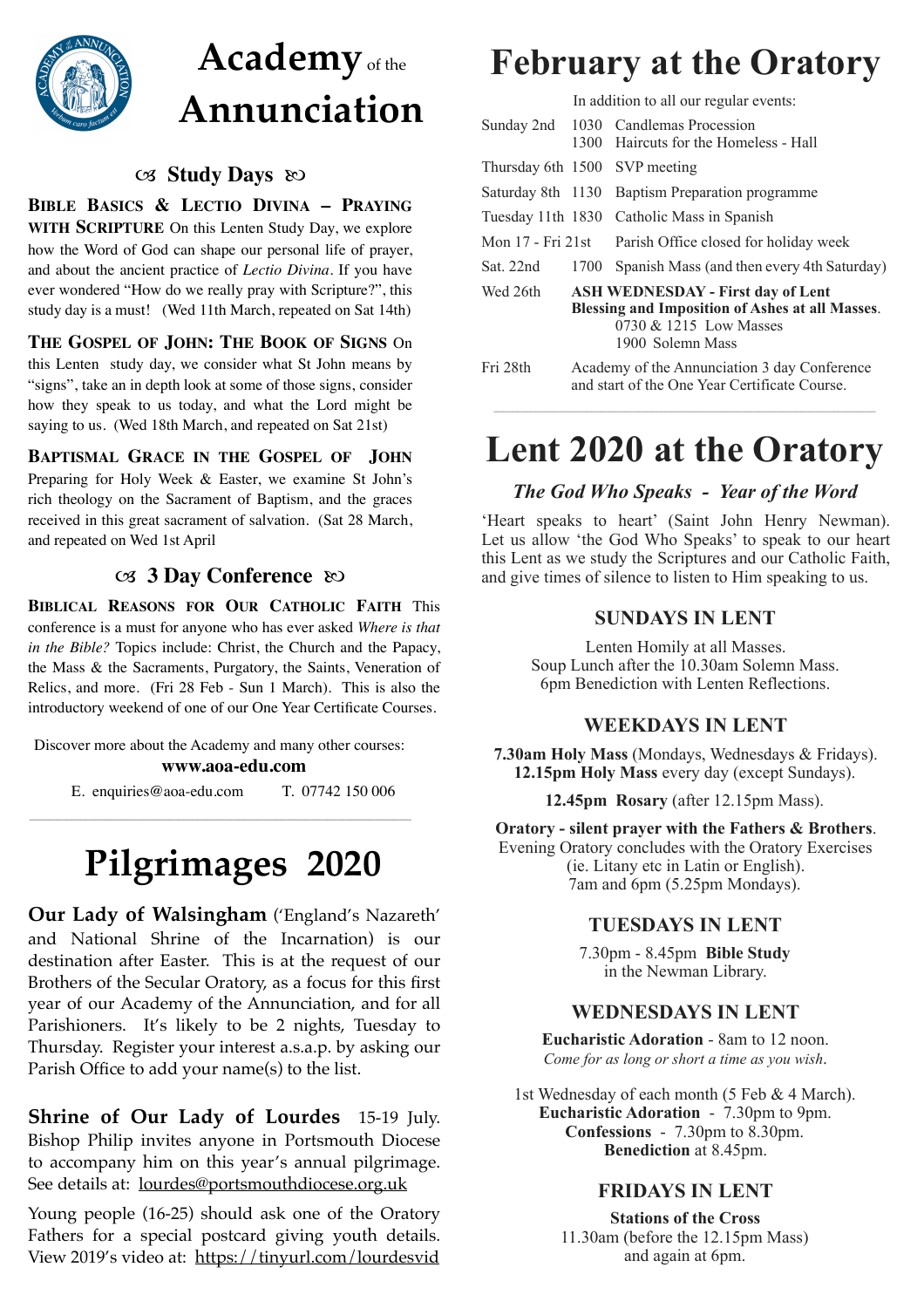

# **Academy**of the **Annunciation**

### **Study Days**  $\infty$

**BIBLE BASICS & LECTIO DIVINA – PRAYING WITH SCRIPTURE** On this Lenten Study Day, we explore how the Word of God can shape our personal life of prayer, and about the ancient practice of *Lectio Divina*. If you have ever wondered "How do we really pray with Scripture?", this study day is a must! (Wed 11th March, repeated on Sat 14th)

**THE GOSPEL OF JOHN: THE BOOK OF SIGNS** On this Lenten study day, we consider what St John means by "signs", take an in depth look at some of those signs, consider how they speak to us today, and what the Lord might be saying to us. (Wed 18th March, and repeated on Sat 21st)

**BAPTISMAL GRACE IN THE GOSPEL OF JOHN** Preparing for Holy Week & Easter, we examine St John's rich theology on the Sacrament of Baptism, and the graces received in this great sacrament of salvation. (Sat 28 March, and repeated on Wed 1st April

#### **3 Day Conference**  $\infty$

**BIBLICAL REASONS FOR OUR CATHOLIC FAITH** This conference is a must for anyone who has ever asked *Where is that in the Bible?* Topics include: Christ, the Church and the Papacy, the Mass & the Sacraments, Purgatory, the Saints, Veneration of Relics, and more. (Fri 28 Feb - Sun 1 March). This is also the introductory weekend of one of our One Year Certificate Courses.

Discover more about the Academy and many other courses: **[www.aoa-edu.com](http://www.aoa-edu.com)**

E. [enquiries@aoa-edu.com](mailto:enquiries@aoa-edu.com) T. 07742 150 006

# **Pilgrimages 2020**

**Our Lady of Walsingham** ('England's Nazareth' and National Shrine of the Incarnation) is our destination after Easter. This is at the request of our Brothers of the Secular Oratory, as a focus for this first year of our Academy of the Annunciation, and for all Parishioners. It's likely to be 2 nights, Tuesday to Thursday. Register your interest a.s.a.p. by asking our Parish Office to add your name(s) to the list.

**Shrine of Our Lady of Lourdes** 15-19 July. Bishop Philip invites anyone in Portsmouth Diocese to accompany him on this year's annual pilgrimage. See details at: lourdes@portsmouthdiocese.org.uk

Young people (16-25) should ask one of the Oratory Fathers for a special postcard giving youth details. View 2019's video at: https://tinyurl.com/lourdesvid

## **February at the Oratory**

In addition to all our regular events:

|                                                                                                                                                              |                                                                                               | Sunday 2nd 1030 Candlemas Procession<br>1300 Haircuts for the Homeless - Hall |  |
|--------------------------------------------------------------------------------------------------------------------------------------------------------------|-----------------------------------------------------------------------------------------------|-------------------------------------------------------------------------------|--|
|                                                                                                                                                              |                                                                                               | Thursday 6th 1500 SVP meeting                                                 |  |
|                                                                                                                                                              |                                                                                               | Saturday 8th 1130 Baptism Preparation programme                               |  |
|                                                                                                                                                              |                                                                                               | Tuesday 11th 1830 Catholic Mass in Spanish                                    |  |
| Mon 17 - Fri 21st                                                                                                                                            |                                                                                               | Parish Office closed for holiday week                                         |  |
| Sat. 22nd                                                                                                                                                    | 1700                                                                                          | Spanish Mass (and then every 4th Saturday)                                    |  |
| <b>ASH WEDNESDAY - First day of Lent</b><br>Wed 26th<br><b>Blessing and Imposition of Ashes at all Masses.</b><br>0730 & 1215 Low Masses<br>1900 Solemn Mass |                                                                                               |                                                                               |  |
| Fri 28th                                                                                                                                                     | Academy of the Annunciation 3 day Conference<br>and start of the One Year Certificate Course. |                                                                               |  |

### **Lent 2020 at the Oratory**

 $\mathcal{L}_\mathcal{L} = \{ \mathcal{L}_\mathcal{L} = \{ \mathcal{L}_\mathcal{L} = \{ \mathcal{L}_\mathcal{L} = \{ \mathcal{L}_\mathcal{L} = \{ \mathcal{L}_\mathcal{L} = \{ \mathcal{L}_\mathcal{L} = \{ \mathcal{L}_\mathcal{L} = \{ \mathcal{L}_\mathcal{L} = \{ \mathcal{L}_\mathcal{L} = \{ \mathcal{L}_\mathcal{L} = \{ \mathcal{L}_\mathcal{L} = \{ \mathcal{L}_\mathcal{L} = \{ \mathcal{L}_\mathcal{L} = \{ \mathcal{L}_\mathcal{$ 

### *The God Who Speaks - Year of the Word*

'Heart speaks to heart' (Saint John Henry Newman). Let us allow 'the God Who Speaks' to speak to our heart this Lent as we study the Scriptures and our Catholic Faith, and give times of silence to listen to Him speaking to us.

### **SUNDAYS IN LENT**

Lenten Homily at all Masses. Soup Lunch after the 10.30am Solemn Mass. 6pm Benediction with Lenten Reflections.

#### **WEEKDAYS IN LENT**

**7.30am Holy Mass** (Mondays, Wednesdays & Fridays). **12.15pm Holy Mass** every day (except Sundays).

**12.45pm Rosary** (after 12.15pm Mass).

**Oratory - silent prayer with the Fathers & Brothers**. Evening Oratory concludes with the Oratory Exercises (ie. Litany etc in Latin or English). 7am and 6pm (5.25pm Mondays).

#### **TUESDAYS IN LENT**

7.30pm - 8.45pm **Bible Study** in the Newman Library.

#### **WEDNESDAYS IN LENT**

**Eucharistic Adoration** - 8am to 12 noon. *Come for as long or short a time as you wish*.

1st Wednesday of each month (5 Feb & 4 March). **Eucharistic Adoration** - 7.30pm to 9pm. **Confessions** - 7.30pm to 8.30pm. **Benediction** at 8.45pm.

### **FRIDAYS IN LENT**

**Stations of the Cross**  11.30am (before the 12.15pm Mass) and again at 6pm.